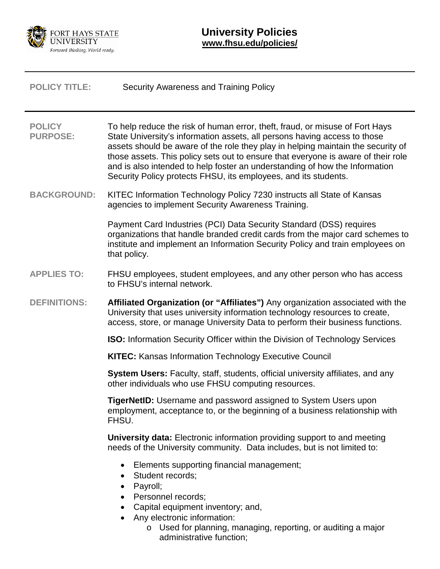

| <b>POLICY TITLE:</b>             | Security Awareness and Training Policy                                                                                                                                                                                                                                                                                                                                                                                                                                               |
|----------------------------------|--------------------------------------------------------------------------------------------------------------------------------------------------------------------------------------------------------------------------------------------------------------------------------------------------------------------------------------------------------------------------------------------------------------------------------------------------------------------------------------|
| <b>POLICY</b><br><b>PURPOSE:</b> | To help reduce the risk of human error, theft, fraud, or misuse of Fort Hays<br>State University's information assets, all persons having access to those<br>assets should be aware of the role they play in helping maintain the security of<br>those assets. This policy sets out to ensure that everyone is aware of their role<br>and is also intended to help foster an understanding of how the Information<br>Security Policy protects FHSU, its employees, and its students. |
| <b>BACKGROUND:</b>               | KITEC Information Technology Policy 7230 instructs all State of Kansas<br>agencies to implement Security Awareness Training.                                                                                                                                                                                                                                                                                                                                                         |
|                                  | Payment Card Industries (PCI) Data Security Standard (DSS) requires<br>organizations that handle branded credit cards from the major card schemes to<br>institute and implement an Information Security Policy and train employees on<br>that policy.                                                                                                                                                                                                                                |
| <b>APPLIES TO:</b>               | FHSU employees, student employees, and any other person who has access<br>to FHSU's internal network.                                                                                                                                                                                                                                                                                                                                                                                |
| <b>DEFINITIONS:</b>              | Affiliated Organization (or "Affiliates") Any organization associated with the<br>University that uses university information technology resources to create,<br>access, store, or manage University Data to perform their business functions.                                                                                                                                                                                                                                       |
|                                  | <b>ISO:</b> Information Security Officer within the Division of Technology Services                                                                                                                                                                                                                                                                                                                                                                                                  |
|                                  | <b>KITEC:</b> Kansas Information Technology Executive Council                                                                                                                                                                                                                                                                                                                                                                                                                        |
|                                  | System Users: Faculty, staff, students, official university affiliates, and any<br>other individuals who use FHSU computing resources.                                                                                                                                                                                                                                                                                                                                               |
|                                  | <b>TigerNetID:</b> Username and password assigned to System Users upon<br>employment, acceptance to, or the beginning of a business relationship with<br>FHSU.                                                                                                                                                                                                                                                                                                                       |
|                                  | <b>University data:</b> Electronic information providing support to and meeting<br>needs of the University community. Data includes, but is not limited to:                                                                                                                                                                                                                                                                                                                          |
|                                  | Elements supporting financial management;<br>٠<br>Student records;<br>٠<br>Payroll;<br>٠<br>Personnel records;<br>Capital equipment inventory; and,<br>• Any electronic information:<br>Llood for planning managing reporting or quditing a major                                                                                                                                                                                                                                    |

o Used for planning, managing, reporting, or auditing a major administrative function;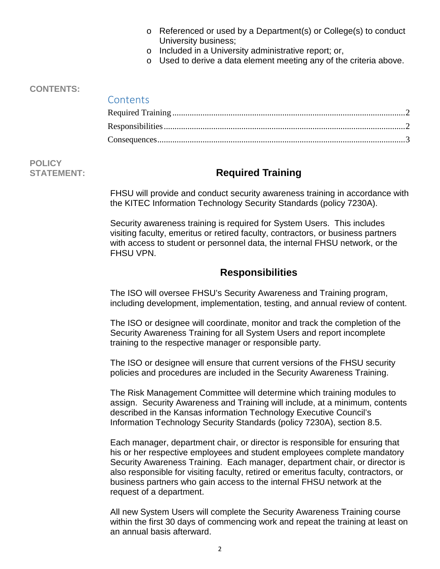- o Referenced or used by a Department(s) or College(s) to conduct University business;
- o Included in a University administrative report; or,
- o Used to derive a data element meeting any of the criteria above.

#### **CONTENTS:**

### **Contents**

# **POLICY**

# **STATEMENT: Required Training**

<span id="page-1-0"></span>FHSU will provide and conduct security awareness training in accordance with the KITEC Information Technology Security Standards (policy 7230A).

Security awareness training is required for System Users. This includes visiting faculty, emeritus or retired faculty, contractors, or business partners with access to student or personnel data, the internal FHSU network, or the FHSU VPN.

## **Responsibilities**

<span id="page-1-1"></span>The ISO will oversee FHSU's Security Awareness and Training program, including development, implementation, testing, and annual review of content.

The ISO or designee will coordinate, monitor and track the completion of the Security Awareness Training for all System Users and report incomplete training to the respective manager or responsible party.

The ISO or designee will ensure that current versions of the FHSU security policies and procedures are included in the Security Awareness Training.

The Risk Management Committee will determine which training modules to assign. Security Awareness and Training will include, at a minimum, contents described in the Kansas information Technology Executive Council's Information Technology Security Standards (policy 7230A), section 8.5.

Each manager, department chair, or director is responsible for ensuring that his or her respective employees and student employees complete mandatory Security Awareness Training. Each manager, department chair, or director is also responsible for visiting faculty, retired or emeritus faculty, contractors, or business partners who gain access to the internal FHSU network at the request of a department.

All new System Users will complete the Security Awareness Training course within the first 30 days of commencing work and repeat the training at least on an annual basis afterward.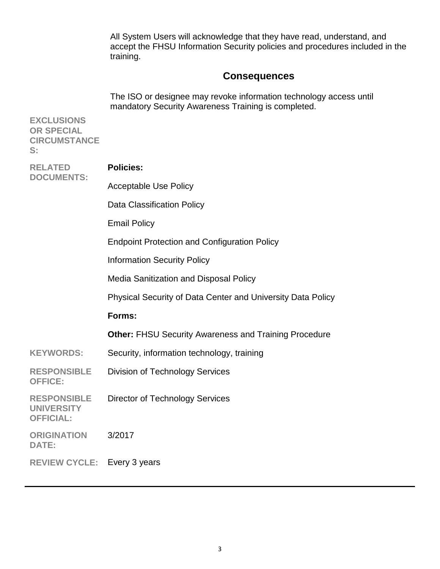All System Users will acknowledge that they have read, understand, and accept the FHSU Information Security policies and procedures included in the training.

## **Consequences**

<span id="page-2-0"></span>The ISO or designee may revoke information technology access until mandatory Security Awareness Training is completed.

**EXCLUSIONS OR SPECIAL CIRCUMSTANCE S: RELATED DOCUMENTS: Policies:** Acceptable Use Policy Data Classification Policy Email Policy Endpoint Protection and Configuration Policy Information Security Policy Media Sanitization and Disposal Policy Physical Security of Data Center and University Data Policy **Forms: Other:** FHSU Security Awareness and Training Procedure KEYWORDS: Security, information technology, training **RESPONSIBLE OFFICE:** Division of Technology Services **RESPONSIBLE UNIVERSITY OFFICIAL:** Director of Technology Services **ORIGINATION DATE:** 3/2017 **REVIEW CYCLE:** Every 3 years